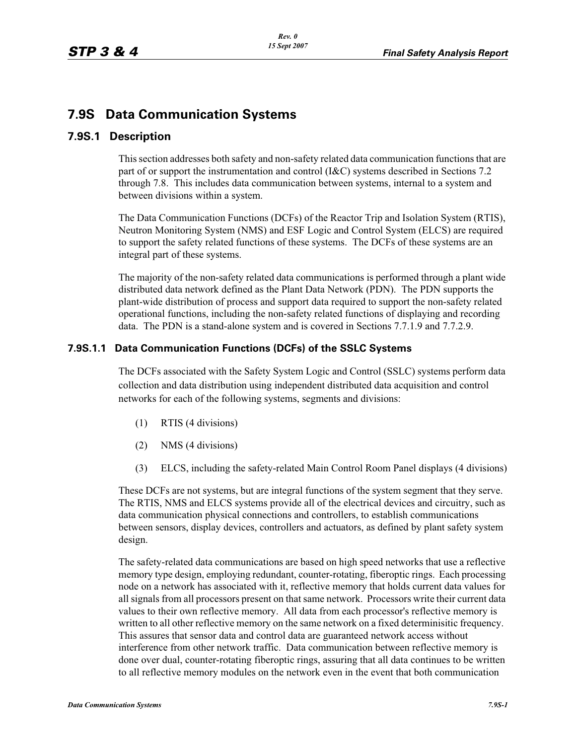# **7.9S Data Communication Systems**

# **7.9S.1 Description**

This section addresses both safety and non-safety related data communication functions that are part of or support the instrumentation and control (I&C) systems described in Sections 7.2 through 7.8. This includes data communication between systems, internal to a system and between divisions within a system.

The Data Communication Functions (DCFs) of the Reactor Trip and Isolation System (RTIS), Neutron Monitoring System (NMS) and ESF Logic and Control System (ELCS) are required to support the safety related functions of these systems. The DCFs of these systems are an integral part of these systems.

The majority of the non-safety related data communications is performed through a plant wide distributed data network defined as the Plant Data Network (PDN). The PDN supports the plant-wide distribution of process and support data required to support the non-safety related operational functions, including the non-safety related functions of displaying and recording data. The PDN is a stand-alone system and is covered in Sections 7.7.1.9 and 7.7.2.9.

# **7.9S.1.1 Data Communication Functions (DCFs) of the SSLC Systems**

The DCFs associated with the Safety System Logic and Control (SSLC) systems perform data collection and data distribution using independent distributed data acquisition and control networks for each of the following systems, segments and divisions:

- (1) RTIS (4 divisions)
- (2) NMS (4 divisions)
- (3) ELCS, including the safety-related Main Control Room Panel displays (4 divisions)

These DCFs are not systems, but are integral functions of the system segment that they serve. The RTIS, NMS and ELCS systems provide all of the electrical devices and circuitry, such as data communication physical connections and controllers, to establish communications between sensors, display devices, controllers and actuators, as defined by plant safety system design.

The safety-related data communications are based on high speed networks that use a reflective memory type design, employing redundant, counter-rotating, fiberoptic rings. Each processing node on a network has associated with it, reflective memory that holds current data values for all signals from all processors present on that same network. Processors write their current data values to their own reflective memory. All data from each processor's reflective memory is written to all other reflective memory on the same network on a fixed determinisitic frequency. This assures that sensor data and control data are guaranteed network access without interference from other network traffic. Data communication between reflective memory is done over dual, counter-rotating fiberoptic rings, assuring that all data continues to be written to all reflective memory modules on the network even in the event that both communication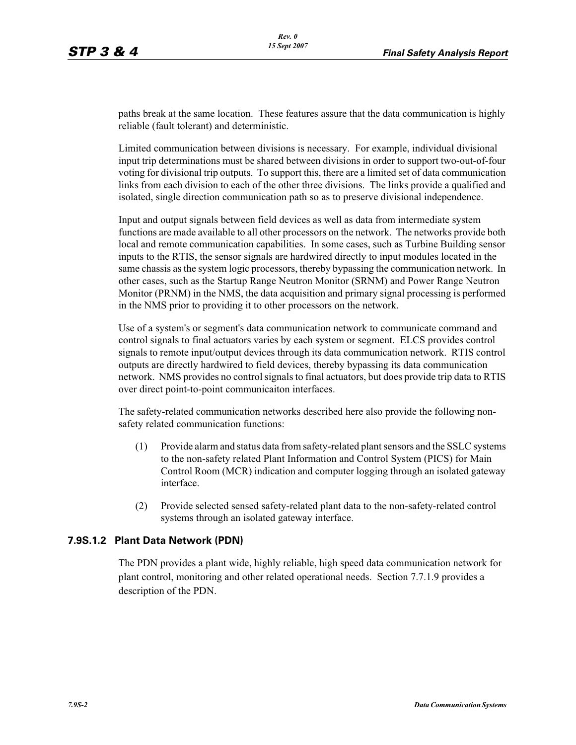paths break at the same location. These features assure that the data communication is highly reliable (fault tolerant) and deterministic.

Limited communication between divisions is necessary. For example, individual divisional input trip determinations must be shared between divisions in order to support two-out-of-four voting for divisional trip outputs. To support this, there are a limited set of data communication links from each division to each of the other three divisions. The links provide a qualified and isolated, single direction communication path so as to preserve divisional independence.

Input and output signals between field devices as well as data from intermediate system functions are made available to all other processors on the network. The networks provide both local and remote communication capabilities. In some cases, such as Turbine Building sensor inputs to the RTIS, the sensor signals are hardwired directly to input modules located in the same chassis as the system logic processors, thereby bypassing the communication network. In other cases, such as the Startup Range Neutron Monitor (SRNM) and Power Range Neutron Monitor (PRNM) in the NMS, the data acquisition and primary signal processing is performed in the NMS prior to providing it to other processors on the network.

Use of a system's or segment's data communication network to communicate command and control signals to final actuators varies by each system or segment. ELCS provides control signals to remote input/output devices through its data communication network. RTIS control outputs are directly hardwired to field devices, thereby bypassing its data communication network. NMS provides no control signals to final actuators, but does provide trip data to RTIS over direct point-to-point communicaiton interfaces.

The safety-related communication networks described here also provide the following nonsafety related communication functions:

- (1) Provide alarm and status data from safety-related plant sensors and the SSLC systems to the non-safety related Plant Information and Control System (PICS) for Main Control Room (MCR) indication and computer logging through an isolated gateway interface.
- (2) Provide selected sensed safety-related plant data to the non-safety-related control systems through an isolated gateway interface.

#### **7.9S.1.2 Plant Data Network (PDN)**

The PDN provides a plant wide, highly reliable, high speed data communication network for plant control, monitoring and other related operational needs. Section 7.7.1.9 provides a description of the PDN.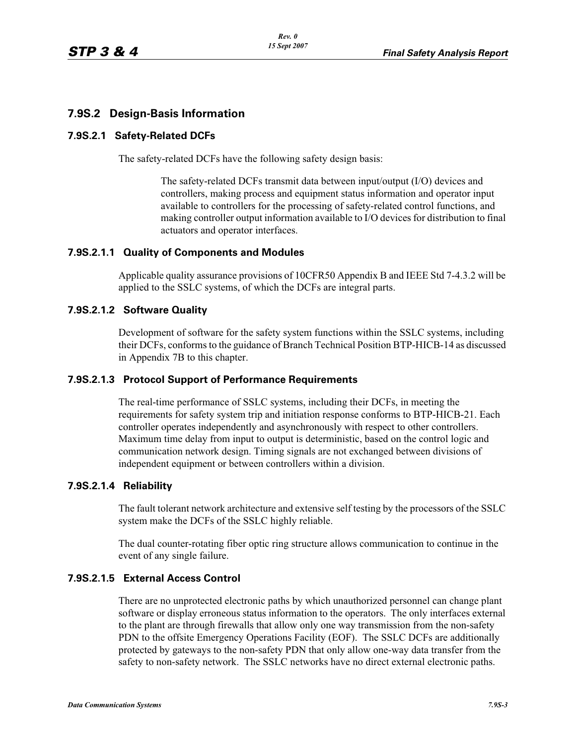# **7.9S.2 Design-Basis Information**

#### **7.9S.2.1 Safety-Related DCFs**

The safety-related DCFs have the following safety design basis:

The safety-related DCFs transmit data between input/output (I/O) devices and controllers, making process and equipment status information and operator input available to controllers for the processing of safety-related control functions, and making controller output information available to I/O devices for distribution to final actuators and operator interfaces.

### **7.9S.2.1.1 Quality of Components and Modules**

Applicable quality assurance provisions of 10CFR50 Appendix B and IEEE Std 7-4.3.2 will be applied to the SSLC systems, of which the DCFs are integral parts.

### **7.9S.2.1.2 Software Quality**

Development of software for the safety system functions within the SSLC systems, including their DCFs, conforms to the guidance of Branch Technical Position BTP-HICB-14 as discussed in Appendix 7B to this chapter.

#### **7.9S.2.1.3 Protocol Support of Performance Requirements**

The real-time performance of SSLC systems, including their DCFs, in meeting the requirements for safety system trip and initiation response conforms to BTP-HICB-21. Each controller operates independently and asynchronously with respect to other controllers. Maximum time delay from input to output is deterministic, based on the control logic and communication network design. Timing signals are not exchanged between divisions of independent equipment or between controllers within a division.

# **7.9S.2.1.4 Reliability**

The fault tolerant network architecture and extensive self testing by the processors of the SSLC system make the DCFs of the SSLC highly reliable.

The dual counter-rotating fiber optic ring structure allows communication to continue in the event of any single failure.

# **7.9S.2.1.5 External Access Control**

There are no unprotected electronic paths by which unauthorized personnel can change plant software or display erroneous status information to the operators. The only interfaces external to the plant are through firewalls that allow only one way transmission from the non-safety PDN to the offsite Emergency Operations Facility (EOF). The SSLC DCFs are additionally protected by gateways to the non-safety PDN that only allow one-way data transfer from the safety to non-safety network. The SSLC networks have no direct external electronic paths.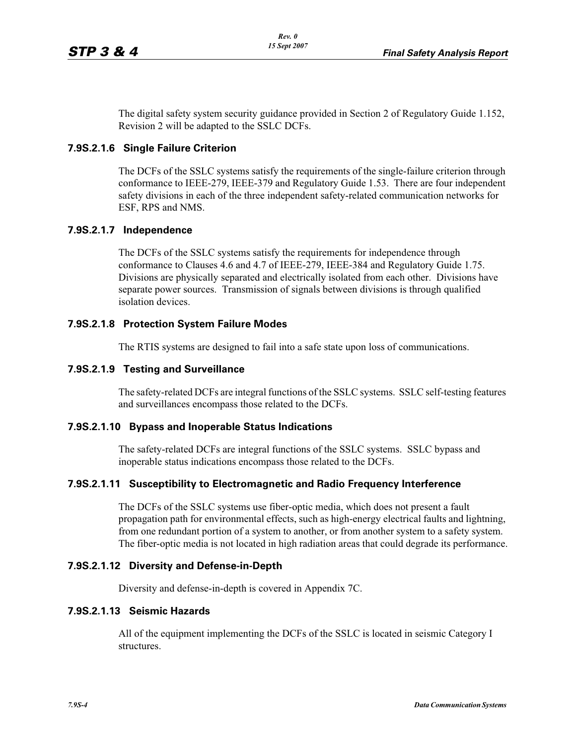The digital safety system security guidance provided in Section 2 of Regulatory Guide 1.152, Revision 2 will be adapted to the SSLC DCFs.

#### **7.9S.2.1.6 Single Failure Criterion**

The DCFs of the SSLC systems satisfy the requirements of the single-failure criterion through conformance to IEEE-279, IEEE-379 and Regulatory Guide 1.53. There are four independent safety divisions in each of the three independent safety-related communication networks for ESF, RPS and NMS.

### **7.9S.2.1.7 Independence**

The DCFs of the SSLC systems satisfy the requirements for independence through conformance to Clauses 4.6 and 4.7 of IEEE-279, IEEE-384 and Regulatory Guide 1.75. Divisions are physically separated and electrically isolated from each other. Divisions have separate power sources. Transmission of signals between divisions is through qualified isolation devices.

### **7.9S.2.1.8 Protection System Failure Modes**

The RTIS systems are designed to fail into a safe state upon loss of communications.

#### **7.9S.2.1.9 Testing and Surveillance**

The safety-related DCFs are integral functions of the SSLC systems. SSLC self-testing features and surveillances encompass those related to the DCFs.

#### **7.9S.2.1.10 Bypass and Inoperable Status Indications**

The safety-related DCFs are integral functions of the SSLC systems. SSLC bypass and inoperable status indications encompass those related to the DCFs.

#### **7.9S.2.1.11 Susceptibility to Electromagnetic and Radio Frequency Interference**

The DCFs of the SSLC systems use fiber-optic media, which does not present a fault propagation path for environmental effects, such as high-energy electrical faults and lightning, from one redundant portion of a system to another, or from another system to a safety system. The fiber-optic media is not located in high radiation areas that could degrade its performance.

#### **7.9S.2.1.12 Diversity and Defense-in-Depth**

Diversity and defense-in-depth is covered in Appendix 7C.

#### **7.9S.2.1.13 Seismic Hazards**

All of the equipment implementing the DCFs of the SSLC is located in seismic Category I structures.